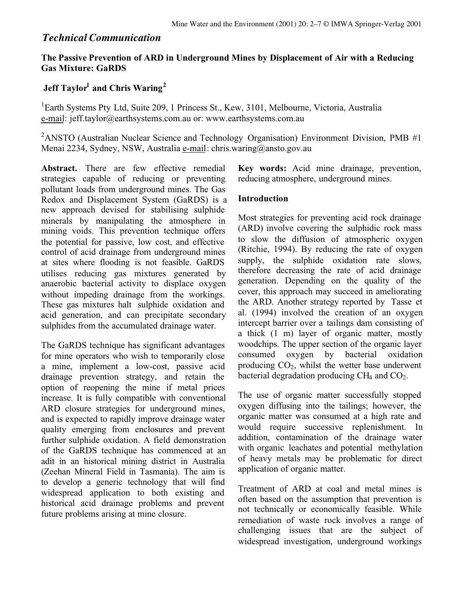## *Technical Communication*

## **The Passive Prevention of ARD in Underground Mines by Displacement of Air with a Reducing Gas Mixture: GaRDS**

# **Jeff Taylor<sup>1</sup> and Chris Waring<sup>2</sup>**

<sup>1</sup>Earth Systems Pty Ltd, Suite 209, 1 Princess St., Kew, 3101, Melbourne, Victoria, Australia e-mail: jeff.taylor@earthsystems.com.au or: www.earthsystems.com.au

 $2$ ANSTO (Australian Nuclear Science and Technology Organisation) Environment Division, PMB #1 Menai 2234, Sydney, NSW, Australia e-mail: chris.waring@ansto.gov.au

Abstract. There are few effective remedial strategies capable of reducing or preventing pollutant loads from underground mines. The Gas Redox and Displacement System (GaRDS) is a new approach devised for stabilising sulphide minerals by manipulating the atmosphere in mining voids. This prevention technique offers the potential for passive, low cost, and effective control of acid drainage from underground mines at sites where flooding is not feasible. GaRDS utilises reducing gas mixtures generated by anaerobic bacterial activity to displace oxygen without impeding drainage from the workings. These gas mixtures halt sulphide oxidation and acid generation, and can precipitate secondary sulphides from the accumulated drainage water.

The GaRDS technique has significant advantages for mine operators who wish to temporarily close a mine, implement a low-cost, passive acid drainage prevention strategy, and retain the option of reopening the mine if metal prices increase. It is fully compatible with conventional ARD closure strategies for underground mines, and is expected to rapidly improve drainage water quality emerging from enclosures and prevent further sulphide oxidation. A field demonstration of the GaRDS technique has commenced at an adit in an historical mining district in Australia (Zeehan Mineral Field in Tasmania). The aim is to develop a generic technology that will find widespread application to both existing and historical acid drainage problems and prevent future problems arising at mine closure.

**Key words:** Acid mine drainage, prevention, reducing atmosphere, underground mines.

### **Introduction**

Most strategies for preventing acid rock drainage (ARD) involve covering the sulphidic rock mass to slow the diffusion of atmospheric oxygen (Ritchie, 1994). By reducing the rate of oxygen supply, the sulphide oxidation rate slows, therefore decreasing the rate of acid drainage generation. Depending on the quality of the cover, this approach may succeed in ameliorating the ARD. Another strategy reported by Tasse et al. (1994) involved the creation of an oxygen intercept barrier over a tailings dam consisting of a thick (1 m) layer of organic matter, mostly woodchips. The upper section of the organic layer consumed oxygen by bacterial oxidation producing  $CO<sub>2</sub>$ , whilst the wetter base underwent bacterial degradation producing  $CH<sub>4</sub>$  and  $CO<sub>2</sub>$ .

The use of organic matter successfully stopped oxygen diffusing into the tailings; however, the organic matter was consumed at a high rate and would require successive replenishment. In addition, contamination of the drainage water with organic leachates and potential methylation of heavy metals may be problematic for direct application of organic matter.

Treatment of ARD at coal and metal mines is often based on the assumption that prevention is not technically or economically feasible. While remediation of waste rock involves a range of challenging issues that are the subject of widespread investigation, underground workings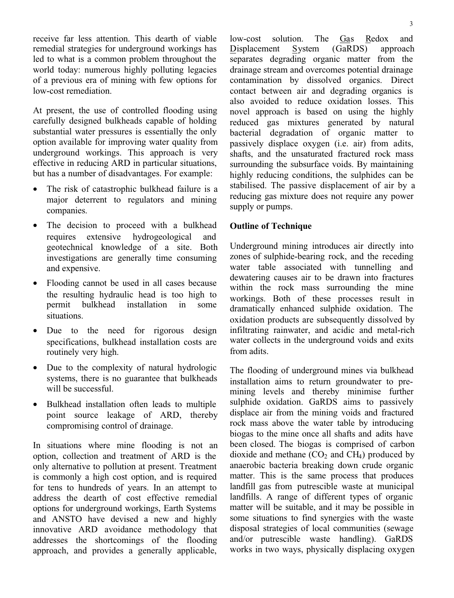receive far less attention. This dearth of viable remedial strategies for underground workings has led to what is a common problem throughout the world today: numerous highly polluting legacies of a previous era of mining with few options for low-cost remediation.

At present, the use of controlled flooding using carefully designed bulkheads capable of holding substantial water pressures is essentially the only option available for improving water quality from underground workings. This approach is very effective in reducing ARD in particular situations, but has a number of disadvantages. For example:

- The risk of catastrophic bulkhead failure is a major deterrent to regulators and mining companies.
- The decision to proceed with a bulkhead requires extensive hydrogeological and geotechnical knowledge of a site. Both investigations are generally time consuming and expensive.
- Flooding cannot be used in all cases because the resulting hydraulic head is too high to permit bulkhead installation in some situations.
- Due to the need for rigorous design specifications, bulkhead installation costs are routinely very high.
- Due to the complexity of natural hydrologic systems, there is no guarantee that bulkheads will be successful.
- Bulkhead installation often leads to multiple point source leakage of ARD, thereby compromising control of drainage.

In situations where mine flooding is not an option, collection and treatment of ARD is the only alternative to pollution at present. Treatment is commonly a high cost option, and is required for tens to hundreds of years. In an attempt to address the dearth of cost effective remedial options for underground workings, Earth Systems and ANSTO have devised a new and highly innovative ARD avoidance methodology that addresses the shortcomings of the flooding approach, and provides a generally applicable, low-cost solution. The Gas Redox and Displacement System (GaRDS) approach separates degrading organic matter from the drainage stream and overcomes potential drainage contamination by dissolved organics. Direct contact between air and degrading organics is also avoided to reduce oxidation losses. This novel approach is based on using the highly reduced gas mixtures generated by natural bacterial degradation of organic matter to passively displace oxygen (i.e. air) from adits, shafts, and the unsaturated fractured rock mass surrounding the subsurface voids. By maintaining highly reducing conditions, the sulphides can be stabilised. The passive displacement of air by a reducing gas mixture does not require any power supply or pumps.

## **Outline of Technique**

Underground mining introduces air directly into zones of sulphide-bearing rock, and the receding water table associated with tunnelling and dewatering causes air to be drawn into fractures within the rock mass surrounding the mine workings. Both of these processes result in dramatically enhanced sulphide oxidation. The oxidation products are subsequently dissolved by infiltrating rainwater, and acidic and metal-rich water collects in the underground voids and exits from adits.

The flooding of underground mines via bulkhead installation aims to return groundwater to premining levels and thereby minimise further sulphide oxidation. GaRDS aims to passively displace air from the mining voids and fractured rock mass above the water table by introducing biogas to the mine once all shafts and adits have been closed. The biogas is comprised of carbon dioxide and methane  $(CO_2$  and  $CH_4$ ) produced by anaerobic bacteria breaking down crude organic matter. This is the same process that produces landfill gas from putrescible waste at municipal landfills. A range of different types of organic matter will be suitable, and it may be possible in some situations to find synergies with the waste disposal strategies of local communities (sewage and/or putrescible waste handling). GaRDS works in two ways, physically displacing oxygen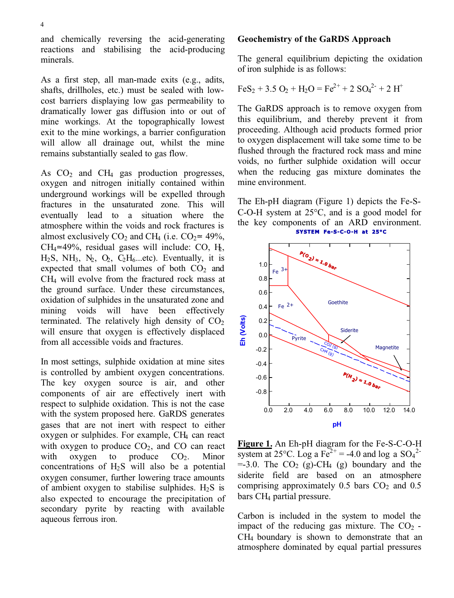and chemically reversing the acid-generating reactions and stabilising the acid-producing minerals.

As a first step, all man-made exits (e.g., adits, shafts, drillholes, etc.) must be sealed with lowcost barriers displaying low gas permeability to dramatically lower gas diffusion into or out of mine workings. At the topographically lowest exit to the mine workings, a barrier configuration will allow all drainage out, whilst the mine remains substantially sealed to gas flow.

As  $CO<sub>2</sub>$  and  $CH<sub>4</sub>$  gas production progresses, oxygen and nitrogen initially contained within underground workings will be expelled through fractures in the unsaturated zone. This will eventually lead to a situation where the atmosphere within the voids and rock fractures is almost exclusively  $CO_2$  and CH<sub>4</sub> (i.e.  $CO_2 \approx 49\%$ ,  $CH_4 \cong 49\%$ , residual gases will include: CO, H, H<sub>2</sub>S, NH<sub>3</sub>, N<sub>2</sub>, O<sub>2</sub>, C<sub>2</sub>H<sub>6</sub>...etc). Eventually, it is expected that small volumes of both  $CO<sub>2</sub>$  and CH4 will evolve from the fractured rock mass at the ground surface. Under these circumstances, oxidation of sulphides in the unsaturated zone and mining voids will have been effectively terminated. The relatively high density of  $CO<sub>2</sub>$ will ensure that oxygen is effectively displaced from all accessible voids and fractures.

In most settings, sulphide oxidation at mine sites is controlled by ambient oxygen concentrations. The key oxygen source is air, and other components of air are effectively inert with respect to sulphide oxidation. This is not the case with the system proposed here. GaRDS generates gases that are not inert with respect to either oxygen or sulphides. For example, CH<sub>4</sub> can react with oxygen to produce  $CO<sub>2</sub>$ , and  $CO$  can react with oxygen to produce  $CO<sub>2</sub>$ . Minor concentrations of H2S will also be a potential oxygen consumer, further lowering trace amounts of ambient oxygen to stabilise sulphides.  $H_2S$  is also expected to encourage the precipitation of secondary pyrite by reacting with available aqueous ferrous iron.

#### **Geochemistry of the GaRDS Approach**

The general equilibrium depicting the oxidation of iron sulphide is as follows:

$$
FeS_2 + 3.5 O_2 + H_2O = Fe^{2+} + 2 SO_4^{2-} + 2 H^+
$$

The GaRDS approach is to remove oxygen from this equilibrium, and thereby prevent it from proceeding. Although acid products formed prior to oxygen displacement will take some time to be flushed through the fractured rock mass and mine voids, no further sulphide oxidation will occur when the reducing gas mixture dominates the mine environment.

The Eh-pH diagram (Figure 1) depicts the Fe-S-C-O-H system at 25°C, and is a good model for the key components of an ARD environment. **SYSTEM Fe-S-C-O-H at 25°C**



**Figure 1.** An Eh-pH diagram for the Fe-S-C-O-H system at 25°C. Log a  $Fe^{2+} = -4.0$  and log a  $SO_4^{2-}$  $=$ -3.0. The  $CO<sub>2</sub>$  (g)-CH<sub>4</sub> (g) boundary and the siderite field are based on an atmosphere comprising approximately  $0.5$  bars  $CO<sub>2</sub>$  and  $0.5$ bars CH4 partial pressure.

Carbon is included in the system to model the impact of the reducing gas mixture. The  $CO<sub>2</sub>$  -CH4 boundary is shown to demonstrate that an atmosphere dominated by equal partial pressures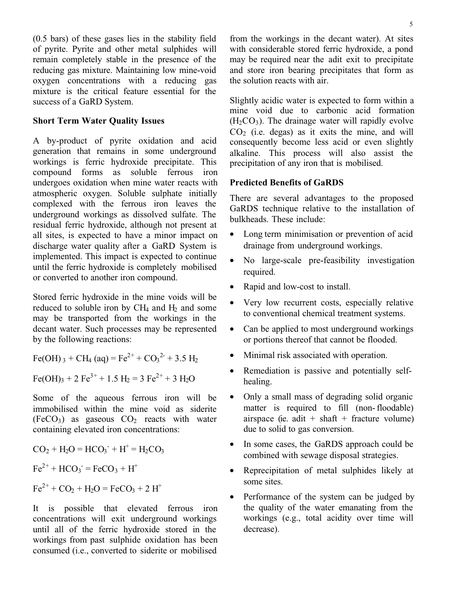(0.5 bars) of these gases lies in the stability field of pyrite. Pyrite and other metal sulphides will remain completely stable in the presence of the reducing gas mixture. Maintaining low mine-void oxygen concentrations with a reducing gas mixture is the critical feature essential for the success of a GaRD System.

## **Short Term Water Quality Issues**

A by-product of pyrite oxidation and acid generation that remains in some underground workings is ferric hydroxide precipitate. This compound forms as soluble ferrous iron undergoes oxidation when mine water reacts with atmospheric oxygen. Soluble sulphate initially complexed with the ferrous iron leaves the underground workings as dissolved sulfate. The residual ferric hydroxide, although not present at all sites, is expected to have a minor impact on discharge water quality after a GaRD System is implemented. This impact is expected to continue until the ferric hydroxide is completely mobilised or converted to another iron compound.

Stored ferric hydroxide in the mine voids will be reduced to soluble iron by  $CH_4$  and  $H_2$  and some may be transported from the workings in the decant water. Such processes may be represented by the following reactions:

Fe(OH) 
$$
3 + CH_4
$$
 (aq) = Fe<sup>2+</sup> + CO<sub>3</sub><sup>2</sup> + 3.5 H<sub>2</sub>  
Fe(OH) $3 + 2 Fe^{3+} + 1.5 H_2 = 3 Fe^{2+} + 3 H_2O$ 

Some of the aqueous ferrous iron will be immobilised within the mine void as siderite  $(FeCO<sub>3</sub>)$  as gaseous  $CO<sub>2</sub>$  reacts with water containing elevated iron concentrations:

$$
CO_2 + H_2O = HCO_3 + H^+ = H_2CO_3
$$
  
\n $Fe^{2+} + HCO_3 = FeCO_3 + H^+$ 

$$
Fe^{2+} + CO_2 + H_2O = FeCO_3 + 2 H^+
$$

It is possible that elevated ferrous iron concentrations will exit underground workings until all of the ferric hydroxide stored in the workings from past sulphide oxidation has been consumed (i.e., converted to siderite or mobilised

from the workings in the decant water). At sites with considerable stored ferric hydroxide, a pond may be required near the adit exit to precipitate and store iron bearing precipitates that form as the solution reacts with air.

Slightly acidic water is expected to form within a mine void due to carbonic acid formation  $(H_2CO_3)$ . The drainage water will rapidly evolve  $CO<sub>2</sub>$  (i.e. degas) as it exits the mine, and will consequently become less acid or even slightly alkaline. This process will also assist the precipitation of any iron that is mobilised.

## **Predicted Benefits of GaRDS**

There are several advantages to the proposed GaRDS technique relative to the installation of bulkheads. These include:

- Long term minimisation or prevention of acid drainage from underground workings.
- No large-scale pre-feasibility investigation required.
- Rapid and low-cost to install.
- Very low recurrent costs, especially relative to conventional chemical treatment systems.
- Can be applied to most underground workings or portions thereof that cannot be flooded.
- Minimal risk associated with operation.
- Remediation is passive and potentially selfhealing.
- Only a small mass of degrading solid organic matter is required to fill (non- floodable) airspace (ie. adit + shaft + fracture volume) due to solid to gas conversion.
- In some cases, the GaRDS approach could be combined with sewage disposal strategies.
- Reprecipitation of metal sulphides likely at some sites.
- Performance of the system can be judged by the quality of the water emanating from the workings (e.g., total acidity over time will decrease).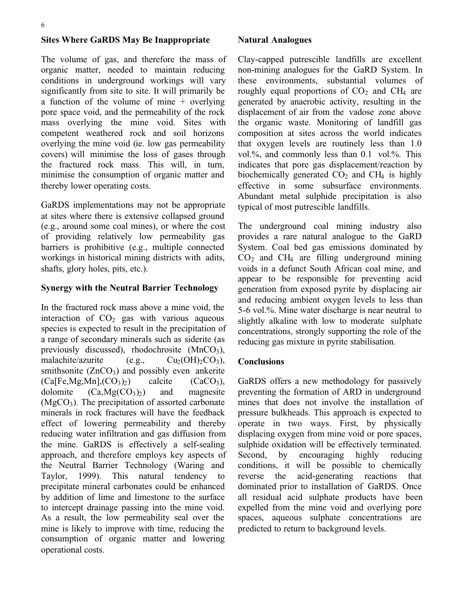### **Sites Where GaRDS May Be Inappropriate**

The volume of gas, and therefore the mass of organic matter, needed to maintain reducing conditions in underground workings will vary significantly from site to site. It will primarily be a function of the volume of mine + overlying pore space void, and the permeability of the rock mass overlying the mine void. Sites with competent weathered rock and soil horizons overlying the mine void (ie. low gas permeability covers) will minimise the loss of gases through the fractured rock mass. This will, in turn, minimise the consumption of organic matter and thereby lower operating costs.

GaRDS implementations may not be appropriate at sites where there is extensive collapsed ground (e.g., around some coal mines), or where the cost of providing relatively low permeability gas barriers is prohibitive (e.g., multiple connected workings in historical mining districts with adits, shafts, glory holes, pits, etc.).

### **Synergy with the Neutral Barrier Technology**

In the fractured rock mass above a mine void, the interaction of  $CO<sub>2</sub>$  gas with various aqueous species is expected to result in the precipitation of a range of secondary minerals such as siderite (as previously discussed), rhodochrosite (MnCO<sub>3</sub>), malachite/azurite (e.g.,  $Cu_2(OH)_2CO_3$ ), malachite/azurite  $(e.g.,$ smithsonite  $(ZnCO<sub>3</sub>)$  and possibly even ankerite<br>(Ca[Fe Mg Mn](CO<sub>3</sub>)) calcite (CaCO<sub>3</sub>)  $(Ca[Fe, Mg, Mn], (CO<sub>3</sub>)<sub>2</sub>)$  calcite  $(CaCO<sub>3</sub>)$ ,<br>dolomite  $(Ca.Mg(CO<sub>3</sub>)<sub>2</sub>)$  and magnesite  $(Ca, Mg(CO<sub>3</sub>)<sub>2</sub>)$  and magnesite  $(MgCO<sub>3</sub>)$ . The precipitation of assorted carbonate minerals in rock fractures will have the feedback effect of lowering permeability and thereby reducing water infiltration and gas diffusion from the mine. GaRDS is effectively a self-sealing approach, and therefore employs key aspects of the Neutral Barrier Technology (Waring and Taylor, 1999). This natural tendency to precipitate mineral carbonates could be enhanced by addition of lime and limestone to the surface to intercept drainage passing into the mine void. As a result, the low permeability seal over the mine is likely to improve with time, reducing the consumption of organic matter and lowering operational costs.

### **Natural Analogues**

Clay-capped putrescible landfills are excellent non-mining analogues for the GaRD System. In these environments, substantial volumes of roughly equal proportions of  $CO<sub>2</sub>$  and  $CH<sub>4</sub>$  are generated by anaerobic activity, resulting in the displacement of air from the vadose zone above the organic waste. Monitoring of landfill gas composition at sites across the world indicates that oxygen levels are routinely less than 1.0 vol.%, and commonly less than 0.1 vol.%. This indicates that pore gas displacement/reaction by biochemically generated  $CO<sub>2</sub>$  and  $CH<sub>4</sub>$  is highly effective in some subsurface environments. Abundant metal sulphide precipitation is also typical of most putrescible landfills.

The underground coal mining industry also provides a rare natural analogue to the GaRD System. Coal bed gas emissions dominated by  $CO<sub>2</sub>$  and  $CH<sub>4</sub>$  are filling underground mining voids in a defunct South African coal mine, and appear to be responsible for preventing acid generation from exposed pyrite by displacing air and reducing ambient oxygen levels to less than 5-6 vol.%. Mine water discharge is near neutral to slightly alkaline with low to moderate sulphate concentrations, strongly supporting the role of the reducing gas mixture in pyrite stabilisation.

#### **Conclusions**

GaRDS offers a new methodology for passively preventing the formation of ARD in underground mines that does not involve the installation of pressure bulkheads. This approach is expected to operate in two ways. First, by physically displacing oxygen from mine void or pore spaces, sulphide oxidation will be effectively terminated.<br>Second. by encouraging highly reducing Second, by encouraging highly reducing conditions, it will be possible to chemically reverse the acid-generating reactions that dominated prior to installation of GaRDS. Once all residual acid sulphate products have been expelled from the mine void and overlying pore spaces, aqueous sulphate concentrations are predicted to return to background levels.